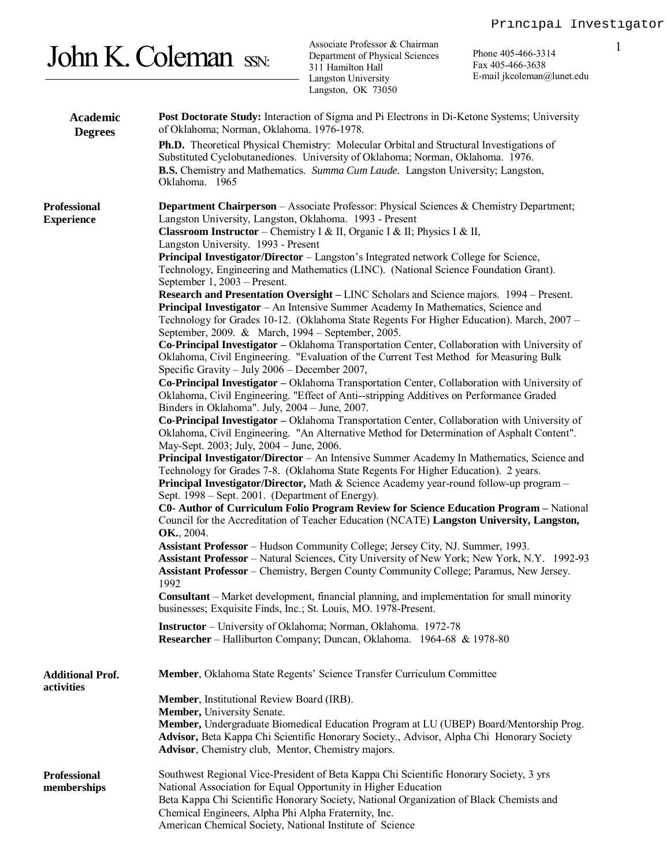## John K. Coleman SSN:

Associate Professor & Chairman Department of Physical Sciences 311 Hamilton Hall Langston University Langston, OK 73050

Phone 405-466-3314 1 Fax 405-466-3638 E-m[ail jkcoleman@lunet.edu](mailto:jkcoleman@lunet.edu)

| Academic<br><b>Degrees</b>            | Post Doctorate Study: Interaction of Sigma and Pi Electrons in Di-Ketone Systems; University<br>of Oklahoma; Norman, Oklahoma. 1976-1978.                                                                                                                                              |  |  |
|---------------------------------------|----------------------------------------------------------------------------------------------------------------------------------------------------------------------------------------------------------------------------------------------------------------------------------------|--|--|
|                                       | Ph.D. Theoretical Physical Chemistry: Molecular Orbital and Structural Investigations of<br>Substituted Cyclobutanediones. University of Oklahoma; Norman, Oklahoma. 1976.<br><b>B.S.</b> Chemistry and Mathematics. Summa Cum Laude. Langston University; Langston,<br>Oklahoma. 1965 |  |  |
|                                       |                                                                                                                                                                                                                                                                                        |  |  |
| Professional<br><b>Experience</b>     | <b>Department Chairperson</b> – Associate Professor: Physical Sciences & Chemistry Department;<br>Langston University, Langston, Oklahoma. 1993 - Present                                                                                                                              |  |  |
|                                       | <b>Classroom Instructor</b> – Chemistry I & II, Organic I & II; Physics I & II,<br>Langston University. 1993 - Present                                                                                                                                                                 |  |  |
|                                       | Principal Investigator/Director – Langston's Integrated network College for Science,<br>Technology, Engineering and Mathematics (LINC). (National Science Foundation Grant).                                                                                                           |  |  |
|                                       | September 1, 2003 – Present.<br>Research and Presentation Oversight – LINC Scholars and Science majors. 1994 – Present.                                                                                                                                                                |  |  |
|                                       | Principal Investigator – An Intensive Summer Academy In Mathematics, Science and<br>Technology for Grades 10-12. (Oklahoma State Regents For Higher Education). March, 2007 -<br>September, 2009. & March, 1994 – September, 2005.                                                     |  |  |
|                                       | Co-Principal Investigator - Oklahoma Transportation Center, Collaboration with University of<br>Oklahoma, Civil Engineering. "Evaluation of the Current Test Method for Measuring Bulk<br>Specific Gravity - July 2006 - December 2007,                                                |  |  |
|                                       | Co-Principal Investigator - Oklahoma Transportation Center, Collaboration with University of<br>Oklahoma, Civil Engineering. "Effect of Anti--stripping Additives on Performance Graded                                                                                                |  |  |
|                                       | Binders in Oklahoma". July, 2004 - June, 2007.<br>Co-Principal Investigator – Oklahoma Transportation Center, Collaboration with University of                                                                                                                                         |  |  |
|                                       | Oklahoma, Civil Engineering. "An Alternative Method for Determination of Asphalt Content".<br>May-Sept. 2003; July, 2004 - June, 2006.                                                                                                                                                 |  |  |
|                                       | Principal Investigator/Director - An Intensive Summer Academy In Mathematics, Science and<br>Technology for Grades 7-8. (Oklahoma State Regents For Higher Education). 2 years.                                                                                                        |  |  |
|                                       | <b>Principal Investigator/Director,</b> Math & Science Academy year-round follow-up program $-$<br>Sept. 1998 – Sept. 2001. (Department of Energy).                                                                                                                                    |  |  |
|                                       | C0- Author of Curriculum Folio Program Review for Science Education Program - National<br>Council for the Accreditation of Teacher Education (NCATE) Langston University, Langston,                                                                                                    |  |  |
|                                       | OK., 2004.                                                                                                                                                                                                                                                                             |  |  |
|                                       | Assistant Professor - Hudson Community College; Jersey City, NJ. Summer, 1993.<br>Assistant Professor - Natural Sciences, City University of New York; New York, N.Y. 1992-93<br>Assistant Professor - Chemistry, Bergen County Community College; Paramus, New Jersey.                |  |  |
|                                       | 1992<br><b>Consultant</b> – Market development, financial planning, and implementation for small minority<br>businesses; Exquisite Finds, Inc.; St. Louis, MO. 1978-Present.                                                                                                           |  |  |
|                                       | <b>Instructor</b> – University of Oklahoma; Norman, Oklahoma. 1972-78<br>Researcher - Halliburton Company; Duncan, Oklahoma. 1964-68 & 1978-80                                                                                                                                         |  |  |
| <b>Additional Prof.</b><br>activities | Member, Oklahoma State Regents' Science Transfer Curriculum Committee                                                                                                                                                                                                                  |  |  |
|                                       | Member, Institutional Review Board (IRB).                                                                                                                                                                                                                                              |  |  |
|                                       | Member, University Senate.                                                                                                                                                                                                                                                             |  |  |
|                                       | Member, Undergraduate Biomedical Education Program at LU (UBEP) Board/Mentorship Prog.<br>Advisor, Beta Kappa Chi Scientific Honorary Society., Advisor, Alpha Chi Honorary Society                                                                                                    |  |  |
|                                       | Advisor, Chemistry club, Mentor, Chemistry majors.                                                                                                                                                                                                                                     |  |  |
| Professional                          | Southwest Regional Vice-President of Beta Kappa Chi Scientific Honorary Society, 3 yrs                                                                                                                                                                                                 |  |  |
| memberships                           | National Association for Equal Opportunity in Higher Education                                                                                                                                                                                                                         |  |  |
|                                       | Beta Kappa Chi Scientific Honorary Society, National Organization of Black Chemists and                                                                                                                                                                                                |  |  |
|                                       | Chemical Engineers, Alpha Phi Alpha Fraternity, Inc.<br>American Chemical Society, National Institute of Science                                                                                                                                                                       |  |  |